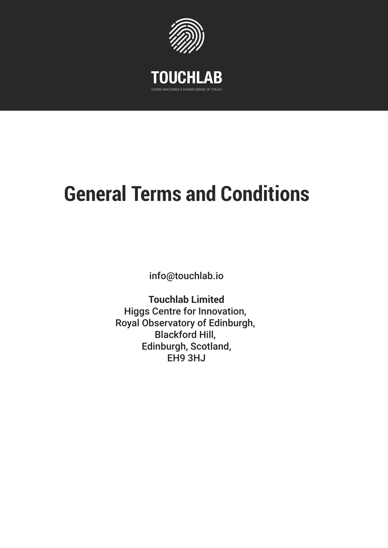

GIVING MACHINES A HUMAN SENSE OF TOUCH

# **General Terms and Conditions**

info@touchlab.io

**Touchlab Limited** Higgs Centre for Innovation, Royal Observatory of Edinburgh, Blackford Hill, Edinburgh, Scotland, EH9 3HJ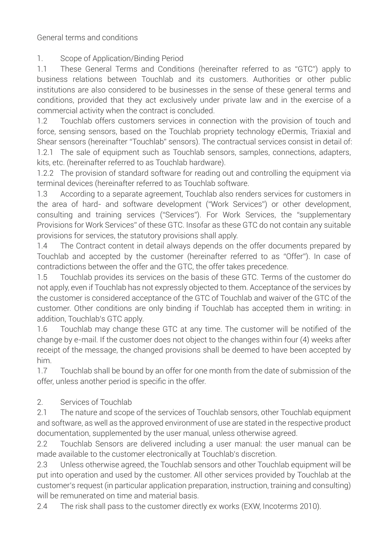General terms and conditions

1. Scope of Application/Binding Period

1.1 These General Terms and Conditions (hereinafter referred to as "GTC") apply to business relations between Touchlab and its customers. Authorities or other public institutions are also considered to be businesses in the sense of these general terms and conditions, provided that they act exclusively under private law and in the exercise of a commercial activity when the contract is concluded.

1.2 Touchlab offers customers services in connection with the provision of touch and force, sensing sensors, based on the Touchlab propriety technology eDermis, Triaxial and Shear sensors (hereinafter "Touchlab" sensors). The contractual services consist in detail of:

1.2.1 The sale of equipment such as Touchlab sensors, samples, connections, adapters, kits, etc. (hereinafter referred to as Touchlab hardware).

1.2.2 The provision of standard software for reading out and controlling the equipment via terminal devices (hereinafter referred to as Touchlab software.

1.3 According to a separate agreement, Touchlab also renders services for customers in the area of hard- and software development ("Work Services") or other development, consulting and training services ("Services"). For Work Services, the "supplementary Provisions for Work Services" of these GTC. Insofar as these GTC do not contain any suitable provisions for services, the statutory provisions shall apply.

1.4 The Contract content in detail always depends on the offer documents prepared by Touchlab and accepted by the customer (hereinafter referred to as "Offer"). In case of contradictions between the offer and the GTC, the offer takes precedence.

1.5 Touchlab provides its services on the basis of these GTC. Terms of the customer do not apply, even if Touchlab has not expressly objected to them. Acceptance of the services by the customer is considered acceptance of the GTC of Touchlab and waiver of the GTC of the customer. Other conditions are only binding if Touchlab has accepted them in writing: in addition, Touchlab's GTC apply.

1.6 Touchlab may change these GTC at any time. The customer will be notified of the change by e-mail. If the customer does not object to the changes within four (4) weeks after receipt of the message, the changed provisions shall be deemed to have been accepted by him.

1.7 Touchlab shall be bound by an offer for one month from the date of submission of the offer, unless another period is specific in the offer.

# 2. Services of Touchlab

2.1 The nature and scope of the services of Touchlab sensors, other Touchlab equipment and software, as well as the approved environment of use are stated in the respective product documentation, supplemented by the user manual, unless otherwise agreed.

2.2 Touchlab Sensors are delivered including a user manual: the user manual can be made available to the customer electronically at Touchlab's discretion.

2.3 Unless otherwise agreed, the Touchlab sensors and other Touchlab equipment will be put into operation and used by the customer. All other services provided by Touchlab at the customer's request (in particular application preparation, instruction, training and consulting) will be remunerated on time and material basis.

2.4 The risk shall pass to the customer directly ex works (EXW, Incoterms 2010).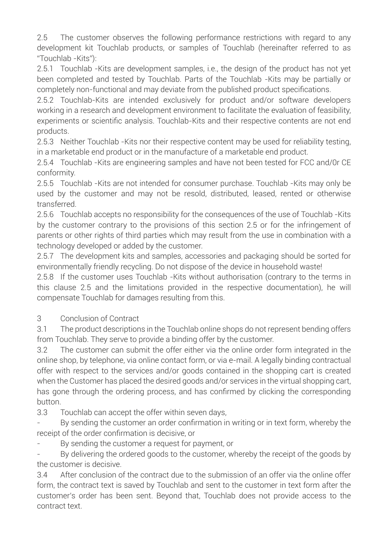2.5 The customer observes the following performance restrictions with regard to any development kit Touchlab products, or samples of Touchlab (hereinafter referred to as "Touchlab -Kits"):

2.5.1 Touchlab -Kits are development samples, i.e., the design of the product has not yet been completed and tested by Touchlab. Parts of the Touchlab -Kits may be partially or completely non-functional and may deviate from the published product specifications.

2.5.2 Touchlab-Kits are intended exclusively for product and/or software developers working in a research and development environment to facilitate the evaluation of feasibility, experiments or scientific analysis. Touchlab-Kits and their respective contents are not end products.

2.5.3 Neither Touchlab -Kits nor their respective content may be used for reliability testing, in a marketable end product or in the manufacture of a marketable end product.

2.5.4 Touchlab -Kits are engineering samples and have not been tested for FCC and/0r CE conformity.

2.5.5 Touchlab -Kits are not intended for consumer purchase. Touchlab -Kits may only be used by the customer and may not be resold, distributed, leased, rented or otherwise transferred.

2.5.6 Touchlab accepts no responsibility for the consequences of the use of Touchlab -Kits by the customer contrary to the provisions of this section 2.5 or for the infringement of parents or other rights of third parties which may result from the use in combination with a technology developed or added by the customer.

2.5.7 The development kits and samples, accessories and packaging should be sorted for environmentally friendly recycling. Do not dispose of the device in household waste!

2.5.8 If the customer uses Touchlab -Kits without authorisation (contrary to the terms in this clause 2.5 and the limitations provided in the respective documentation), he will compensate Touchlab for damages resulting from this.

## 3 Conclusion of Contract

3.1 The product descriptions in the Touchlab online shops do not represent bending offers from Touchlab. They serve to provide a binding offer by the customer.

3.2 The customer can submit the offer either via the online order form integrated in the online shop, by telephone, via online contact form, or via e-mail. A legally binding contractual offer with respect to the services and/or goods contained in the shopping cart is created when the Customer has placed the desired goods and/or services in the virtual shopping cart, has gone through the ordering process, and has confirmed by clicking the corresponding button.

3.3 Touchlab can accept the offer within seven days,

By sending the customer an order confirmation in writing or in text form, whereby the receipt of the order confirmation is decisive, or

- By sending the customer a request for payment, or

By delivering the ordered goods to the customer, whereby the receipt of the goods by the customer is decisive.

3.4 After conclusion of the contract due to the submission of an offer via the online offer form, the contract text is saved by Touchlab and sent to the customer in text form after the customer's order has been sent. Beyond that, Touchlab does not provide access to the contract text.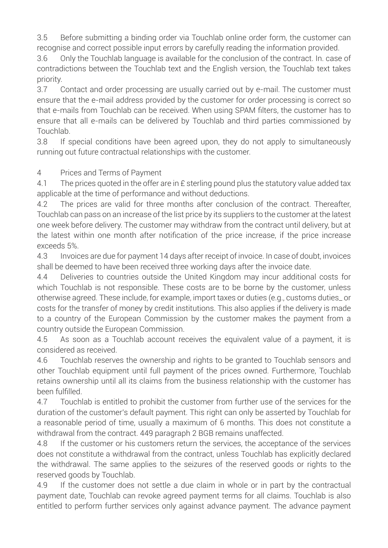3.5 Before submitting a binding order via Touchlab online order form, the customer can recognise and correct possible input errors by carefully reading the information provided.

3.6 Only the Touchlab language is available for the conclusion of the contract. In. case of contradictions between the Touchlab text and the English version, the Touchlab text takes priority.

3.7 Contact and order processing are usually carried out by e-mail. The customer must ensure that the e-mail address provided by the customer for order processing is correct so that e-mails from Touchlab can be received. When using SPAM filters, the customer has to ensure that all e-mails can be delivered by Touchlab and third parties commissioned by Touchlab.

3.8 If special conditions have been agreed upon, they do not apply to simultaneously running out future contractual relationships with the customer.

#### 4 Prices and Terms of Payment

4.1 The prices quoted in the offer are in £ sterling pound plus the statutory value added tax applicable at the time of performance and without deductions.

4.2 The prices are valid for three months after conclusion of the contract. Thereafter, Touchlab can pass on an increase of the list price by its suppliers to the customer at the latest one week before delivery. The customer may withdraw from the contract until delivery, but at the latest within one month after notification of the price increase, if the price increase exceeds 5%.

4.3 Invoices are due for payment 14 days after receipt of invoice. In case of doubt, invoices shall be deemed to have been received three working days after the invoice date.

4.4 Deliveries to countries outside the United Kingdom may incur additional costs for which Touchlab is not responsible. These costs are to be borne by the customer, unless otherwise agreed. These include, for example, import taxes or duties (e.g., customs duties\_ or costs for the transfer of money by credit institutions. This also applies if the delivery is made to a country of the European Commission by the customer makes the payment from a country outside the European Commission.

4.5 As soon as a Touchlab account receives the equivalent value of a payment, it is considered as received.

4.6 Touchlab reserves the ownership and rights to be granted to Touchlab sensors and other Touchlab equipment until full payment of the prices owned. Furthermore, Touchlab retains ownership until all its claims from the business relationship with the customer has been fulfilled.

4.7 Touchlab is entitled to prohibit the customer from further use of the services for the duration of the customer's default payment. This right can only be asserted by Touchlab for a reasonable period of time, usually a maximum of 6 months. This does not constitute a withdrawal from the contract. 449 paragraph 2 BGB remains unaffected.

4.8 If the customer or his customers return the services, the acceptance of the services does not constitute a withdrawal from the contract, unless Touchlab has explicitly declared the withdrawal. The same applies to the seizures of the reserved goods or rights to the reserved goods by Touchlab.

4.9 If the customer does not settle a due claim in whole or in part by the contractual payment date, Touchlab can revoke agreed payment terms for all claims. Touchlab is also entitled to perform further services only against advance payment. The advance payment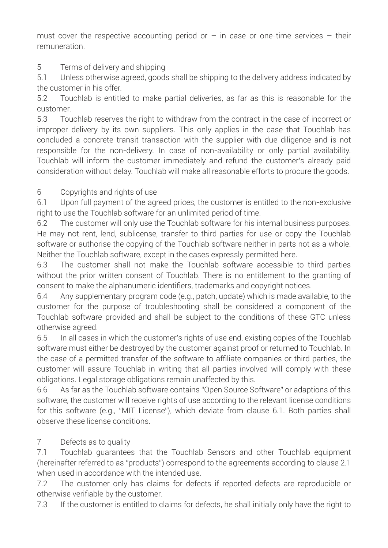must cover the respective accounting period or  $-$  in case or one-time services  $-$  their remuneration.

# 5 Terms of delivery and shipping

5.1 Unless otherwise agreed, goods shall be shipping to the delivery address indicated by the customer in his offer.

5.2 Touchlab is entitled to make partial deliveries, as far as this is reasonable for the customer.

5.3 Touchlab reserves the right to withdraw from the contract in the case of incorrect or improper delivery by its own suppliers. This only applies in the case that Touchlab has concluded a concrete transit transaction with the supplier with due diligence and is not responsible for the non-delivery. In case of non-availability or only partial availability. Touchlab will inform the customer immediately and refund the customer's already paid consideration without delay. Touchlab will make all reasonable efforts to procure the goods.

## 6 Copyrights and rights of use

6.1 Upon full payment of the agreed prices, the customer is entitled to the non-exclusive right to use the Touchlab software for an unlimited period of time.

6.2 The customer will only use the Touchlab software for his internal business purposes. He may not rent, lend, sublicense, transfer to third parties for use or copy the Touchlab software or authorise the copying of the Touchlab software neither in parts not as a whole. Neither the Touchlab software, except in the cases expressly permitted here.

6.3 The customer shall not make the Touchlab software accessible to third parties without the prior written consent of Touchlab. There is no entitlement to the granting of consent to make the alphanumeric identifiers, trademarks and copyright notices.

6.4 Any supplementary program code (e.g., patch, update) which is made available, to the customer for the purpose of troubleshooting shall be considered a component of the Touchlab software provided and shall be subject to the conditions of these GTC unless otherwise agreed.

6.5 In all cases in which the customer's rights of use end, existing copies of the Touchlab software must either be destroyed by the customer against proof or returned to Touchlab. In the case of a permitted transfer of the software to affiliate companies or third parties, the customer will assure Touchlab in writing that all parties involved will comply with these obligations. Legal storage obligations remain unaffected by this.

6.6 As far as the Touchlab software contains "Open Source Software" or adaptions of this software, the customer will receive rights of use according to the relevant license conditions for this software (e.g., "MIT License"), which deviate from clause 6.1. Both parties shall observe these license conditions.

## 7 Defects as to quality

7.1 Touchlab guarantees that the Touchlab Sensors and other Touchlab equipment (hereinafter referred to as "products") correspond to the agreements according to clause 2.1 when used in accordance with the intended use.

7.2 The customer only has claims for defects if reported defects are reproducible or otherwise verifiable by the customer.

7.3 If the customer is entitled to claims for defects, he shall initially only have the right to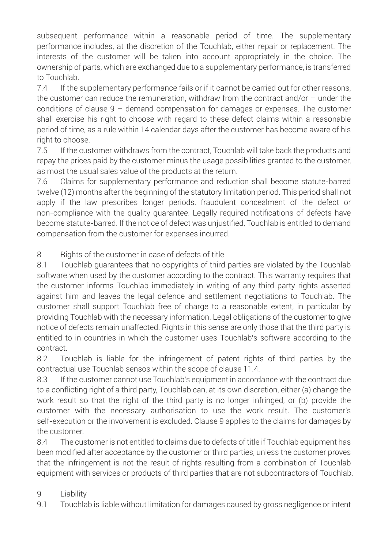subsequent performance within a reasonable period of time. The supplementary performance includes, at the discretion of the Touchlab, either repair or replacement. The interests of the customer will be taken into account appropriately in the choice. The ownership of parts, which are exchanged due to a supplementary performance, is transferred to Touchlab.

7.4 If the supplementary performance fails or if it cannot be carried out for other reasons, the customer can reduce the remuneration, withdraw from the contract and/or  $-$  under the conditions of clause  $9 -$  demand compensation for damages or expenses. The customer shall exercise his right to choose with regard to these defect claims within a reasonable period of time, as a rule within 14 calendar days after the customer has become aware of his right to choose.

7.5 If the customer withdraws from the contract, Touchlab will take back the products and repay the prices paid by the customer minus the usage possibilities granted to the customer, as most the usual sales value of the products at the return.

7.6 Claims for supplementary performance and reduction shall become statute-barred twelve (12) months after the beginning of the statutory limitation period. This period shall not apply if the law prescribes longer periods, fraudulent concealment of the defect or non-compliance with the quality guarantee. Legally required notifications of defects have become statute-barred. If the notice of defect was unjustified, Touchlab is entitled to demand compensation from the customer for expenses incurred.

8 Rights of the customer in case of defects of title

8.1 Touchlab guarantees that no copyrights of third parties are violated by the Touchlab software when used by the customer according to the contract. This warranty requires that the customer informs Touchlab immediately in writing of any third-party rights asserted against him and leaves the legal defence and settlement negotiations to Touchlab. The customer shall support Touchlab free of charge to a reasonable extent, in particular by providing Touchlab with the necessary information. Legal obligations of the customer to give notice of defects remain unaffected. Rights in this sense are only those that the third party is entitled to in countries in which the customer uses Touchlab's software according to the contract.

8.2 Touchlab is liable for the infringement of patent rights of third parties by the contractual use Touchlab sensos within the scope of clause 11.4.

8.3 If the customer cannot use Touchlab's equipment in accordance with the contract due to a conflicting right of a third party, Touchlab can, at its own discretion, either (a) change the work result so that the right of the third party is no longer infringed, or (b) provide the customer with the necessary authorisation to use the work result. The customer's self-execution or the involvement is excluded. Clause 9 applies to the claims for damages by the customer.

8.4 The customer is not entitled to claims due to defects of title if Touchlab equipment has been modified after acceptance by the customer or third parties, unless the customer proves that the infringement is not the result of rights resulting from a combination of Touchlab equipment with services or products of third parties that are not subcontractors of Touchlab.

## 9 Liability

9.1 Touchlab is liable without limitation for damages caused by gross negligence or intent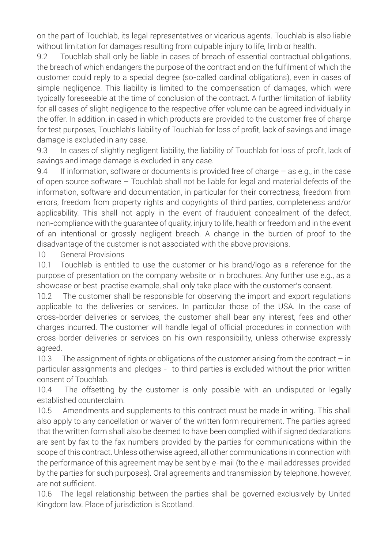on the part of Touchlab, its legal representatives or vicarious agents. Touchlab is also liable without limitation for damages resulting from culpable injury to life, limb or health.

9.2 Touchlab shall only be liable in cases of breach of essential contractual obligations, the breach of which endangers the purpose of the contract and on the fulfilment of which the customer could reply to a special degree (so-called cardinal obligations), even in cases of simple negligence. This liability is limited to the compensation of damages, which were typically foreseeable at the time of conclusion of the contract. A further limitation of liability for all cases of slight negligence to the respective offer volume can be agreed individually in the offer. In addition, in cased in which products are provided to the customer free of charge for test purposes, Touchlab's liability of Touchlab for loss of profit, lack of savings and image damage is excluded in any case.

9.3 In cases of slightly negligent liability, the liability of Touchlab for loss of profit, lack of savings and image damage is excluded in any case.

9.4 If information, software or documents is provided free of charge – as e.g., in the case of open source software – Touchlab shall not be liable for legal and material defects of the information, software and documentation, in particular for their correctness, freedom from errors, freedom from property rights and copyrights of third parties, completeness and/or applicability. This shall not apply in the event of fraudulent concealment of the defect, non-compliance with the guarantee of quality, injury to life, health or freedom and in the event of an intentional or grossly negligent breach. A change in the burden of proof to the disadvantage of the customer is not associated with the above provisions.

10 General Provisions

10.1 Touchlab is entitled to use the customer or his brand/logo as a reference for the purpose of presentation on the company website or in brochures. Any further use e.g., as a showcase or best-practise example, shall only take place with the customer's consent.

10.2 The customer shall be responsible for observing the import and export regulations applicable to the deliveries or services. In particular those of the USA. In the case of cross-border deliveries or services, the customer shall bear any interest, fees and other charges incurred. The customer will handle legal of official procedures in connection with cross-border deliveries or services on his own responsibility, unless otherwise expressly agreed.

10.3 The assignment of rights or obligations of the customer arising from the contract  $-$  in particular assignments and pledges - to third parties is excluded without the prior written consent of Touchlab.

10.4 The offsetting by the customer is only possible with an undisputed or legally established counterclaim.

10.5 Amendments and supplements to this contract must be made in writing. This shall also apply to any cancellation or waiver of the written form requirement. The parties agreed that the written form shall also be deemed to have been complied with if signed declarations are sent by fax to the fax numbers provided by the parties for communications within the scope of this contract. Unless otherwise agreed, all other communications in connection with the performance of this agreement may be sent by e-mail (to the e-mail addresses provided by the parties for such purposes). Oral agreements and transmission by telephone, however, are not sufficient.

10.6 The legal relationship between the parties shall be governed exclusively by United Kingdom law. Place of jurisdiction is Scotland.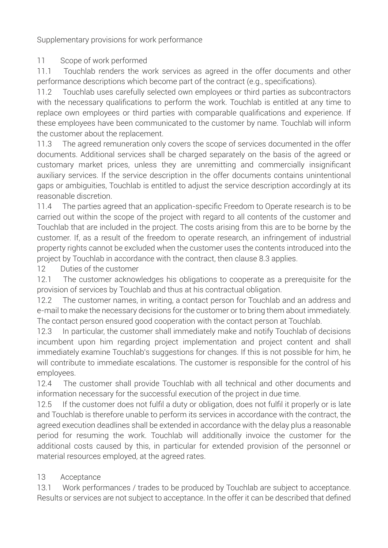Supplementary provisions for work performance

## 11 Scope of work performed

11.1 Touchlab renders the work services as agreed in the offer documents and other performance descriptions which become part of the contract (e.g., specifications).

11.2 Touchlab uses carefully selected own employees or third parties as subcontractors with the necessary qualifications to perform the work. Touchlab is entitled at any time to replace own employees or third parties with comparable qualifications and experience. If these employees have been communicated to the customer by name. Touchlab will inform the customer about the replacement.

11.3 The agreed remuneration only covers the scope of services documented in the offer documents. Additional services shall be charged separately on the basis of the agreed or customary market prices, unless they are unremitting and commercially insignificant auxiliary services. If the service description in the offer documents contains unintentional gaps or ambiguities, Touchlab is entitled to adjust the service description accordingly at its reasonable discretion.

11.4 The parties agreed that an application-specific Freedom to Operate research is to be carried out within the scope of the project with regard to all contents of the customer and Touchlab that are included in the project. The costs arising from this are to be borne by the customer. If, as a result of the freedom to operate research, an infringement of industrial property rights cannot be excluded when the customer uses the contents introduced into the project by Touchlab in accordance with the contract, then clause 8.3 applies.

12 Duties of the customer

12.1 The customer acknowledges his obligations to cooperate as a prerequisite for the provision of services by Touchlab and thus at his contractual obligation.

12.2 The customer names, in writing, a contact person for Touchlab and an address and e-mail to make the necessary decisions for the customer or to bring them about immediately. The contact person ensured good cooperation with the contact person at Touchlab.

12.3 In particular, the customer shall immediately make and notify Touchlab of decisions incumbent upon him regarding project implementation and project content and shall immediately examine Touchlab's suggestions for changes. If this is not possible for him, he will contribute to immediate escalations. The customer is responsible for the control of his employees.

12.4 The customer shall provide Touchlab with all technical and other documents and information necessary for the successful execution of the project in due time.

12.5 If the customer does not fulfil a duty or obligation, does not fulfil it properly or is late and Touchlab is therefore unable to perform its services in accordance with the contract, the agreed execution deadlines shall be extended in accordance with the delay plus a reasonable period for resuming the work. Touchlab will additionally invoice the customer for the additional costs caused by this, in particular for extended provision of the personnel or material resources employed, at the agreed rates.

# 13 Acceptance

13.1 Work performances / trades to be produced by Touchlab are subject to acceptance. Results or services are not subject to acceptance. In the offer it can be described that defined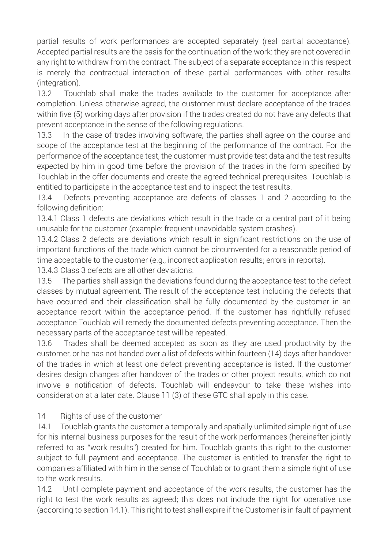partial results of work performances are accepted separately (real partial acceptance). Accepted partial results are the basis for the continuation of the work: they are not covered in any right to withdraw from the contract. The subject of a separate acceptance in this respect is merely the contractual interaction of these partial performances with other results (integration).

13.2 Touchlab shall make the trades available to the customer for acceptance after completion. Unless otherwise agreed, the customer must declare acceptance of the trades within five (5) working days after provision if the trades created do not have any defects that prevent acceptance in the sense of the following regulations.

13.3 In the case of trades involving software, the parties shall agree on the course and scope of the acceptance test at the beginning of the performance of the contract. For the performance of the acceptance test, the customer must provide test data and the test results expected by him in good time before the provision of the trades in the form specified by Touchlab in the offer documents and create the agreed technical prerequisites. Touchlab is entitled to participate in the acceptance test and to inspect the test results.

13.4 Defects preventing acceptance are defects of classes 1 and 2 according to the following definition:

13.4.1 Class 1 defects are deviations which result in the trade or a central part of it being unusable for the customer (example: frequent unavoidable system crashes).

13.4.2 Class 2 defects are deviations which result in significant restrictions on the use of important functions of the trade which cannot be circumvented for a reasonable period of time acceptable to the customer (e.g., incorrect application results; errors in reports).

13.4.3 Class 3 defects are all other deviations.

13.5 The parties shall assign the deviations found during the acceptance test to the defect classes by mutual agreement. The result of the acceptance test including the defects that have occurred and their classification shall be fully documented by the customer in an acceptance report within the acceptance period. If the customer has rightfully refused acceptance Touchlab will remedy the documented defects preventing acceptance. Then the necessary parts of the acceptance test will be repeated.

13.6 Trades shall be deemed accepted as soon as they are used productivity by the customer, or he has not handed over a list of defects within fourteen (14) days after handover of the trades in which at least one defect preventing acceptance is listed. If the customer desires design changes after handover of the trades or other project results, which do not involve a notification of defects. Touchlab will endeavour to take these wishes into consideration at a later date. Clause 11 (3) of these GTC shall apply in this case.

#### 14 Rights of use of the customer

14.1 Touchlab grants the customer a temporally and spatially unlimited simple right of use for his internal business purposes for the result of the work performances (hereinafter jointly referred to as "work results") created for him. Touchlab grants this right to the customer subject to full payment and acceptance. The customer is entitled to transfer the right to companies affiliated with him in the sense of Touchlab or to grant them a simple right of use to the work results.

14.2 Until complete payment and acceptance of the work results, the customer has the right to test the work results as agreed; this does not include the right for operative use (according to section 14.1). This right to test shall expire if the Customer is in fault of payment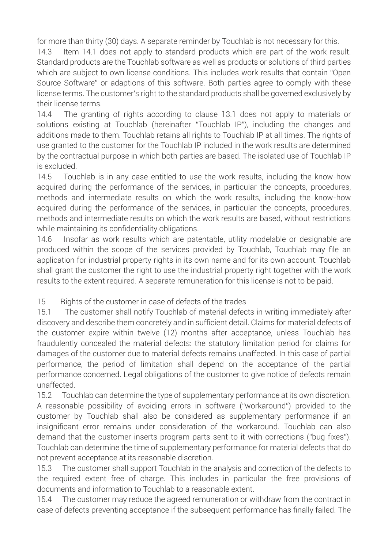for more than thirty (30) days. A separate reminder by Touchlab is not necessary for this.

14.3 Item 14.1 does not apply to standard products which are part of the work result. Standard products are the Touchlab software as well as products or solutions of third parties which are subject to own license conditions. This includes work results that contain "Open Source Software" or adaptions of this software. Both parties agree to comply with these license terms. The customer's right to the standard products shall be governed exclusively by their license terms.

14.4 The granting of rights according to clause 13.1 does not apply to materials or solutions existing at Touchlab (hereinafter "Touchlab IP"), including the changes and additions made to them. Touchlab retains all rights to Touchlab IP at all times. The rights of use granted to the customer for the Touchlab IP included in the work results are determined by the contractual purpose in which both parties are based. The isolated use of Touchlab IP is excluded.

14.5 Touchlab is in any case entitled to use the work results, including the know-how acquired during the performance of the services, in particular the concepts, procedures, methods and intermediate results on which the work results, including the know-how acquired during the performance of the services, in particular the concepts, procedures, methods and intermediate results on which the work results are based, without restrictions while maintaining its confidentiality obligations.

14.6 Insofar as work results which are patentable, utility modelable or designable are produced within the scope of the services provided by Touchlab, Touchlab may file an application for industrial property rights in its own name and for its own account. Touchlab shall grant the customer the right to use the industrial property right together with the work results to the extent required. A separate remuneration for this license is not to be paid.

15 Rights of the customer in case of defects of the trades

15.1 The customer shall notify Touchlab of material defects in writing immediately after discovery and describe them concretely and in sufficient detail. Claims for material defects of the customer expire within twelve (12) months after acceptance, unless Touchlab has fraudulently concealed the material defects: the statutory limitation period for claims for damages of the customer due to material defects remains unaffected. In this case of partial performance, the period of limitation shall depend on the acceptance of the partial performance concerned. Legal obligations of the customer to give notice of defects remain unaffected.

15.2 Touchlab can determine the type of supplementary performance at its own discretion. A reasonable possibility of avoiding errors in software ("workaround") provided to the customer by Touchlab shall also be considered as supplementary performance if an insignificant error remains under consideration of the workaround. Touchlab can also demand that the customer inserts program parts sent to it with corrections ("bug fixes"). Touchlab can determine the time of supplementary performance for material defects that do not prevent acceptance at its reasonable discretion.

15.3 The customer shall support Touchlab in the analysis and correction of the defects to the required extent free of charge. This includes in particular the free provisions of documents and information to Touchlab to a reasonable extent.

15.4 The customer may reduce the agreed remuneration or withdraw from the contract in case of defects preventing acceptance if the subsequent performance has finally failed. The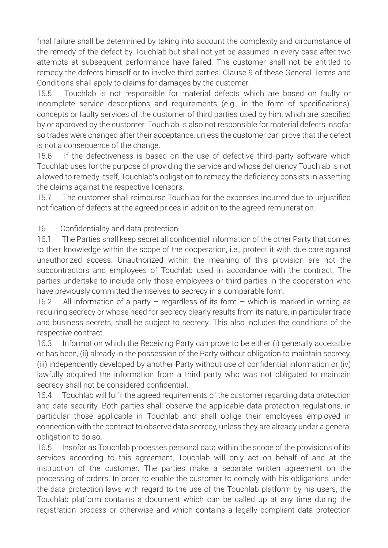final failure shall be determined by taking into account the complexity and circumstance of the remedy of the defect by Touchlab but shall not yet be assumed in every case after two attempts at subsequent performance have failed. The customer shall not be entitled to remedy the defects himself or to involve third parties. Clause 9 of these General Terms and Conditions shall apply to claims for damages by the customer.

15.5 Touchlab is not responsible for material defects which are based on faulty or incomplete service descriptions and requirements (e.g., in the form of specifications), concepts or faulty services of the customer of third parties used by him, which are specified by or approved by the customer. Touchlab is also not responsible for material defects insofar so trades were changed after their acceptance, unless the customer can prove that the defect is not a consequence of the change.

15.6 If the defectiveness is based on the use of defective third-party software which Touchlab uses for the purpose of providing the service and whose deficiency Touchlab is not allowed to remedy itself, Touchlab's obligation to remedy the deficiency consists in asserting the claims against the respective licensors.

15.7 The customer shall reimburse Touchlab for the expenses incurred due to unjustified notification of defects at the agreed prices in addition to the agreed remuneration.

16 Confidentiality and data protection

16.1 The Parties shall keep secret all confidential information of the other Party that comes to their knowledge within the scope of the cooperation, i.e., protect it with due care against unauthorized access. Unauthorized within the meaning of this provision are not the subcontractors and employees of Touchlab used in accordance with the contract. The parties undertake to include only those employees or third parties in the cooperation who have previously committed themselves to secrecy in a comparable form.

16.2 All information of a party – regardless of its form – which is marked in writing as requiring secrecy or whose need for secrecy clearly results from its nature, in particular trade and business secrets, shall be subject to secrecy. This also includes the conditions of the respective contract.

16.3 Information which the Receiving Party can prove to be either (i) generally accessible or has been, (ii) already in the possession of the Party without obligation to maintain secrecy, (iii) independently developed by another Party without use of confidential information or (iv) lawfully acquired the information from a third party who was not obligated to maintain secrecy shall not be considered confidential.

16.4 Touchlab will fulfil the agreed requirements of the customer regarding data protection and data security. Both parties shall observe the applicable data protection regulations, in particular those applicable in Touchlab and shall oblige their employees employed in connection with the contract to observe data secrecy, unless they are already under a general obligation to do so.

16.5 Insofar as Touchlab processes personal data within the scope of the provisions of its services according to this agreement, Touchlab will only act on behalf of and at the instruction of the customer. The parties make a separate written agreement on the processing of orders. In order to enable the customer to comply with his obligations under the data protection laws with regard to the use of the Touchlab platform by his users, the Touchlab platform contains a document which can be called up at any time during the registration process or otherwise and which contains a legally compliant data protection